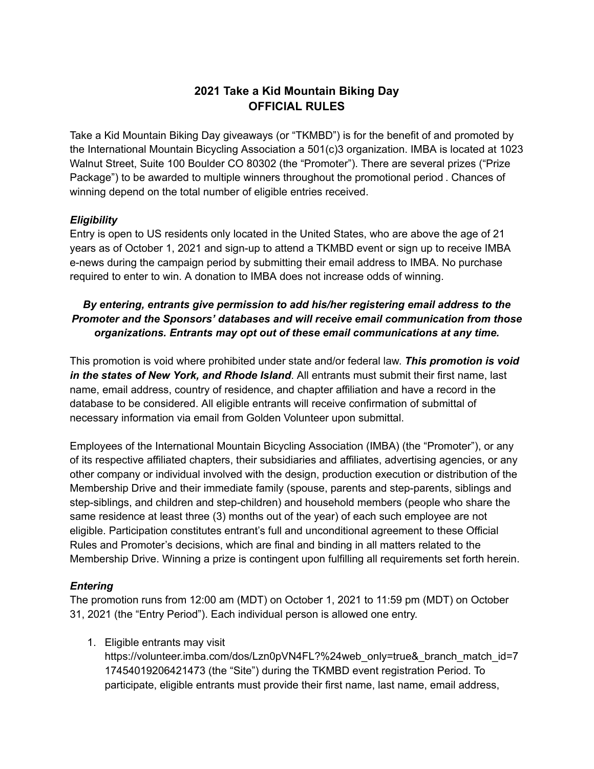# **2021 Take a Kid Mountain Biking Day OFFICIAL RULES**

Take a Kid Mountain Biking Day giveaways (or "TKMBD") is for the benefit of and promoted by the International Mountain Bicycling Association a 501(c)3 organization. IMBA is located at 1023 Walnut Street, Suite 100 Boulder CO 80302 (the "Promoter"). There are several prizes ("Prize Package") to be awarded to multiple winners throughout the promotional period . Chances of winning depend on the total number of eligible entries received.

## *Eligibility*

Entry is open to US residents only located in the United States, who are above the age of 21 years as of October 1, 2021 and sign-up to attend a TKMBD event or sign up to receive IMBA e-news during the campaign period by submitting their email address to IMBA. No purchase required to enter to win. A donation to IMBA does not increase odds of winning.

# *By entering, entrants give permission to add his/her registering email address to the Promoter and the Sponsors' databases and will receive email communication from those organizations. Entrants may opt out of these email communications at any time.*

This promotion is void where prohibited under state and/or federal law. *This promotion is void in the states of New York, and Rhode Island*. All entrants must submit their first name, last name, email address, country of residence, and chapter affiliation and have a record in the database to be considered. All eligible entrants will receive confirmation of submittal of necessary information via email from Golden Volunteer upon submittal.

Employees of the International Mountain Bicycling Association (IMBA) (the "Promoter"), or any of its respective affiliated chapters, their subsidiaries and affiliates, advertising agencies, or any other company or individual involved with the design, production execution or distribution of the Membership Drive and their immediate family (spouse, parents and step-parents, siblings and step-siblings, and children and step-children) and household members (people who share the same residence at least three (3) months out of the year) of each such employee are not eligible. Participation constitutes entrant's full and unconditional agreement to these Official Rules and Promoter's decisions, which are final and binding in all matters related to the Membership Drive. Winning a prize is contingent upon fulfilling all requirements set forth herein.

# *Entering*

The promotion runs from 12:00 am (MDT) on October 1, 2021 to 11:59 pm (MDT) on October 31, 2021 (the "Entry Period"). Each individual person is allowed one entry.

1. Eligible entrants may visit

https://volunteer.imba.com/dos/Lzn0pVN4FL?%24web\_only=true&\_branch\_match\_id=7 17454019206421473 (the "Site") during the TKMBD event registration Period. To participate, eligible entrants must provide their first name, last name, email address,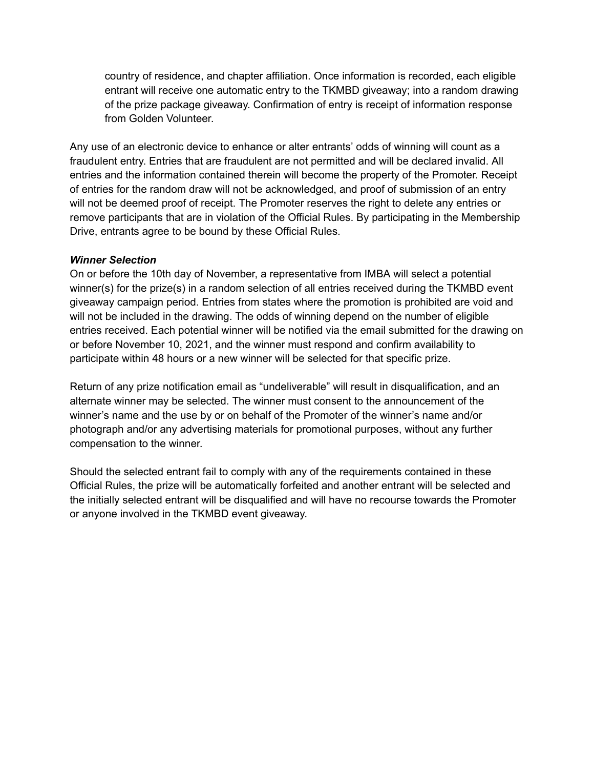country of residence, and chapter affiliation. Once information is recorded, each eligible entrant will receive one automatic entry to the TKMBD giveaway; into a random drawing of the prize package giveaway. Confirmation of entry is receipt of information response from Golden Volunteer.

Any use of an electronic device to enhance or alter entrants' odds of winning will count as a fraudulent entry. Entries that are fraudulent are not permitted and will be declared invalid. All entries and the information contained therein will become the property of the Promoter. Receipt of entries for the random draw will not be acknowledged, and proof of submission of an entry will not be deemed proof of receipt. The Promoter reserves the right to delete any entries or remove participants that are in violation of the Official Rules. By participating in the Membership Drive, entrants agree to be bound by these Official Rules.

### *Winner Selection*

On or before the 10th day of November, a representative from IMBA will select a potential winner(s) for the prize(s) in a random selection of all entries received during the TKMBD event giveaway campaign period. Entries from states where the promotion is prohibited are void and will not be included in the drawing. The odds of winning depend on the number of eligible entries received. Each potential winner will be notified via the email submitted for the drawing on or before November 10, 2021, and the winner must respond and confirm availability to participate within 48 hours or a new winner will be selected for that specific prize.

Return of any prize notification email as "undeliverable" will result in disqualification, and an alternate winner may be selected. The winner must consent to the announcement of the winner's name and the use by or on behalf of the Promoter of the winner's name and/or photograph and/or any advertising materials for promotional purposes, without any further compensation to the winner.

Should the selected entrant fail to comply with any of the requirements contained in these Official Rules, the prize will be automatically forfeited and another entrant will be selected and the initially selected entrant will be disqualified and will have no recourse towards the Promoter or anyone involved in the TKMBD event giveaway.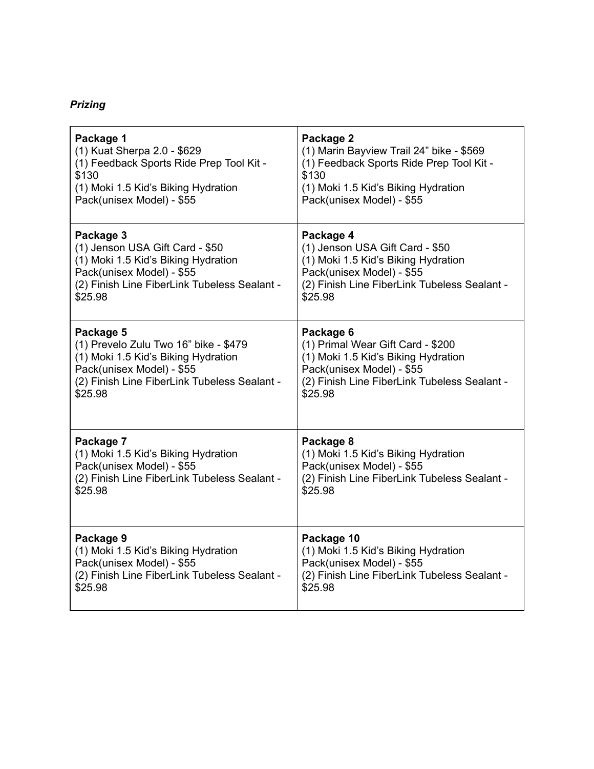# *Prizing*

| Package 1                                    | Package 2                                    |
|----------------------------------------------|----------------------------------------------|
| (1) Kuat Sherpa 2.0 - \$629                  | (1) Marin Bayview Trail 24" bike - \$569     |
| (1) Feedback Sports Ride Prep Tool Kit -     | (1) Feedback Sports Ride Prep Tool Kit -     |
| \$130                                        | \$130                                        |
| (1) Moki 1.5 Kid's Biking Hydration          | (1) Moki 1.5 Kid's Biking Hydration          |
| Pack(unisex Model) - \$55                    | Pack(unisex Model) - \$55                    |
| Package 3                                    | Package 4                                    |
| (1) Jenson USA Gift Card - \$50              | (1) Jenson USA Gift Card - \$50              |
| (1) Moki 1.5 Kid's Biking Hydration          | (1) Moki 1.5 Kid's Biking Hydration          |
| Pack(unisex Model) - \$55                    | Pack(unisex Model) - \$55                    |
| (2) Finish Line FiberLink Tubeless Sealant - | (2) Finish Line FiberLink Tubeless Sealant - |
| \$25.98                                      | \$25.98                                      |
| Package 5                                    | Package 6                                    |
| (1) Prevelo Zulu Two 16" bike - \$479        | (1) Primal Wear Gift Card - \$200            |
| (1) Moki 1.5 Kid's Biking Hydration          | (1) Moki 1.5 Kid's Biking Hydration          |
| Pack(unisex Model) - \$55                    | Pack(unisex Model) - \$55                    |
| (2) Finish Line FiberLink Tubeless Sealant - | (2) Finish Line FiberLink Tubeless Sealant - |
| \$25.98                                      | \$25.98                                      |
| Package 7                                    | Package 8                                    |
| (1) Moki 1.5 Kid's Biking Hydration          | (1) Moki 1.5 Kid's Biking Hydration          |
| Pack(unisex Model) - \$55                    | Pack(unisex Model) - \$55                    |
| (2) Finish Line FiberLink Tubeless Sealant - | (2) Finish Line FiberLink Tubeless Sealant - |
| \$25.98                                      | \$25.98                                      |
| Package 9                                    | Package 10                                   |
| (1) Moki 1.5 Kid's Biking Hydration          | (1) Moki 1.5 Kid's Biking Hydration          |
| Pack(unisex Model) - \$55                    | Pack(unisex Model) - \$55                    |
| (2) Finish Line FiberLink Tubeless Sealant - | (2) Finish Line FiberLink Tubeless Sealant - |
| \$25.98                                      | \$25.98                                      |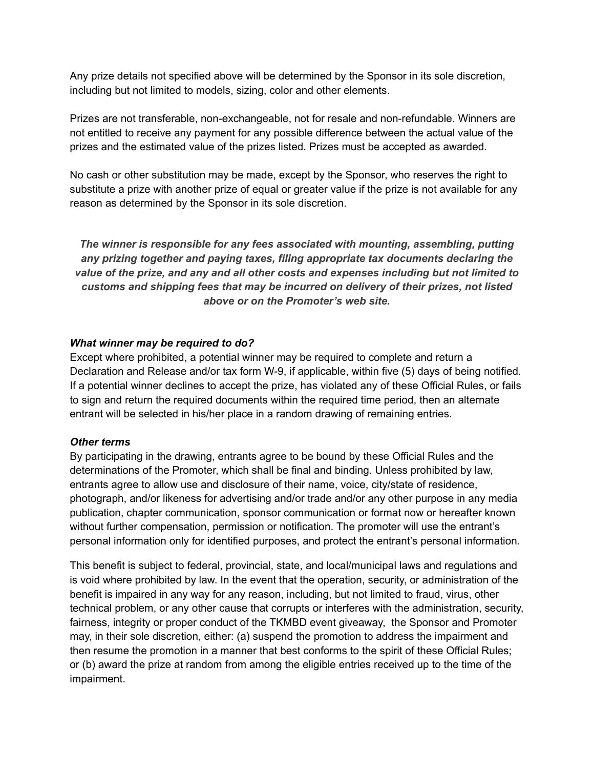Any prize details not specified above will be determined by the Sponsor in its sole discretion, including but not limited to models, sizing, color and other elements.

Prizes are not transferable, non-exchangeable, not for resale and non-refundable. Winners are not entitled to receive any payment for any possible difference between the actual value of the prizes and the estimated value of the prizes listed. Prizes must be accepted as awarded.

No cash or other substitution may be made, except by the Sponsor, who reserves the right to substitute a prize with another prize of equal or greater value if the prize is not available for any reason as determined by the Sponsor in its sole discretion.

*The winner is responsible for any fees associated with mounting, assembling, putting any prizing together and paying taxes, filing appropriate tax documents declaring the value of the prize, and any and all other costs and expenses including but not limited to customs and shipping fees that may be incurred on delivery of their prizes, not listed above or on the Promoter's web site.*

#### *What winner may be required to do?*

Except where prohibited, a potential winner may be required to complete and return a Declaration and Release and/or tax form W-9, if applicable, within five (5) days of being notified. If a potential winner declines to accept the prize, has violated any of these Official Rules, or fails to sign and return the required documents within the required time period, then an alternate entrant will be selected in his/her place in a random drawing of remaining entries.

#### *Other terms*

By participating in the drawing, entrants agree to be bound by these Official Rules and the determinations of the Promoter, which shall be final and binding. Unless prohibited by law, entrants agree to allow use and disclosure of their name, voice, city/state of residence, photograph, and/or likeness for advertising and/or trade and/or any other purpose in any media publication, chapter communication, sponsor communication or format now or hereafter known without further compensation, permission or notification. The promoter will use the entrant's personal information only for identified purposes, and protect the entrant's personal information.

This benefit is subject to federal, provincial, state, and local/municipal laws and regulations and is void where prohibited by law. In the event that the operation, security, or administration of the benefit is impaired in any way for any reason, including, but not limited to fraud, virus, other technical problem, or any other cause that corrupts or interferes with the administration, security, fairness, integrity or proper conduct of the TKMBD event giveaway, the Sponsor and Promoter may, in their sole discretion, either: (a) suspend the promotion to address the impairment and then resume the promotion in a manner that best conforms to the spirit of these Official Rules; or (b) award the prize at random from among the eligible entries received up to the time of the impairment.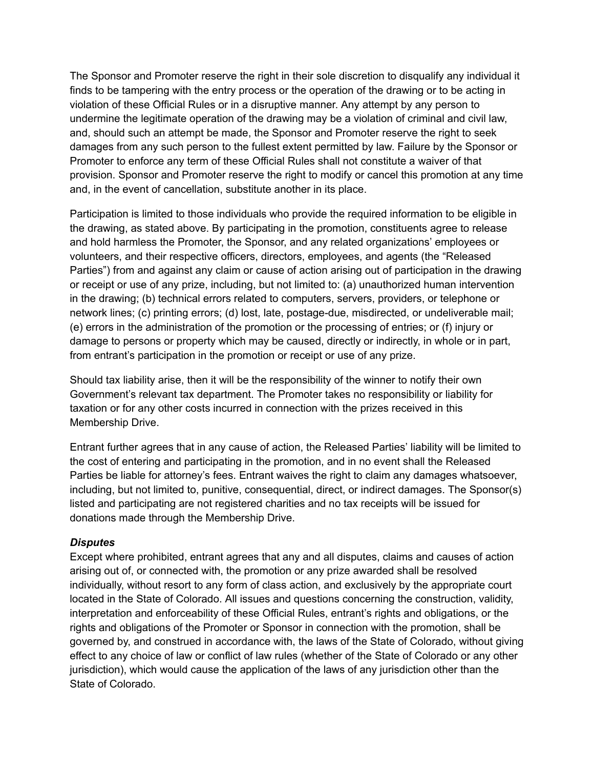The Sponsor and Promoter reserve the right in their sole discretion to disqualify any individual it finds to be tampering with the entry process or the operation of the drawing or to be acting in violation of these Official Rules or in a disruptive manner. Any attempt by any person to undermine the legitimate operation of the drawing may be a violation of criminal and civil law, and, should such an attempt be made, the Sponsor and Promoter reserve the right to seek damages from any such person to the fullest extent permitted by law. Failure by the Sponsor or Promoter to enforce any term of these Official Rules shall not constitute a waiver of that provision. Sponsor and Promoter reserve the right to modify or cancel this promotion at any time and, in the event of cancellation, substitute another in its place.

Participation is limited to those individuals who provide the required information to be eligible in the drawing, as stated above. By participating in the promotion, constituents agree to release and hold harmless the Promoter, the Sponsor, and any related organizations' employees or volunteers, and their respective officers, directors, employees, and agents (the "Released Parties") from and against any claim or cause of action arising out of participation in the drawing or receipt or use of any prize, including, but not limited to: (a) unauthorized human intervention in the drawing; (b) technical errors related to computers, servers, providers, or telephone or network lines; (c) printing errors; (d) lost, late, postage-due, misdirected, or undeliverable mail; (e) errors in the administration of the promotion or the processing of entries; or (f) injury or damage to persons or property which may be caused, directly or indirectly, in whole or in part, from entrant's participation in the promotion or receipt or use of any prize.

Should tax liability arise, then it will be the responsibility of the winner to notify their own Government's relevant tax department. The Promoter takes no responsibility or liability for taxation or for any other costs incurred in connection with the prizes received in this Membership Drive.

Entrant further agrees that in any cause of action, the Released Parties' liability will be limited to the cost of entering and participating in the promotion, and in no event shall the Released Parties be liable for attorney's fees. Entrant waives the right to claim any damages whatsoever, including, but not limited to, punitive, consequential, direct, or indirect damages. The Sponsor(s) listed and participating are not registered charities and no tax receipts will be issued for donations made through the Membership Drive.

# *Disputes*

Except where prohibited, entrant agrees that any and all disputes, claims and causes of action arising out of, or connected with, the promotion or any prize awarded shall be resolved individually, without resort to any form of class action, and exclusively by the appropriate court located in the State of Colorado. All issues and questions concerning the construction, validity, interpretation and enforceability of these Official Rules, entrant's rights and obligations, or the rights and obligations of the Promoter or Sponsor in connection with the promotion, shall be governed by, and construed in accordance with, the laws of the State of Colorado, without giving effect to any choice of law or conflict of law rules (whether of the State of Colorado or any other jurisdiction), which would cause the application of the laws of any jurisdiction other than the State of Colorado.